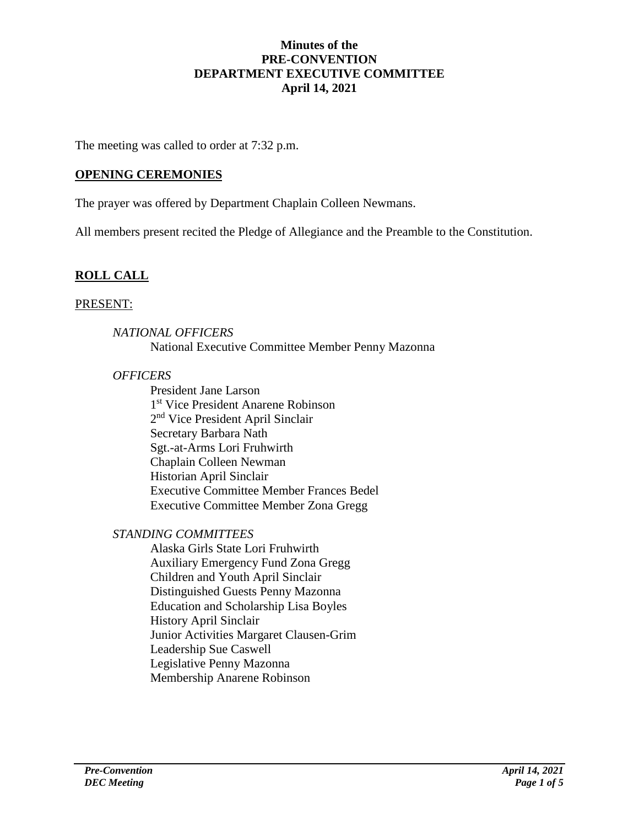#### **Minutes of the PRE-CONVENTION DEPARTMENT EXECUTIVE COMMITTEE April 14, 2021**

The meeting was called to order at 7:32 p.m.

### **OPENING CEREMONIES**

The prayer was offered by Department Chaplain Colleen Newmans.

All members present recited the Pledge of Allegiance and the Preamble to the Constitution.

# **ROLL CALL**

#### PRESENT:

### *NATIONAL OFFICERS* National Executive Committee Member Penny Mazonna

#### *OFFICERS*

President Jane Larson 1 st Vice President Anarene Robinson 2<sup>nd</sup> Vice President April Sinclair Secretary Barbara Nath Sgt.-at-Arms Lori Fruhwirth Chaplain Colleen Newman Historian April Sinclair Executive Committee Member Frances Bedel Executive Committee Member Zona Gregg

## *STANDING COMMITTEES*

Alaska Girls State Lori Fruhwirth Auxiliary Emergency Fund Zona Gregg Children and Youth April Sinclair Distinguished Guests Penny Mazonna Education and Scholarship Lisa Boyles History April Sinclair Junior Activities Margaret Clausen-Grim Leadership Sue Caswell Legislative Penny Mazonna Membership Anarene Robinson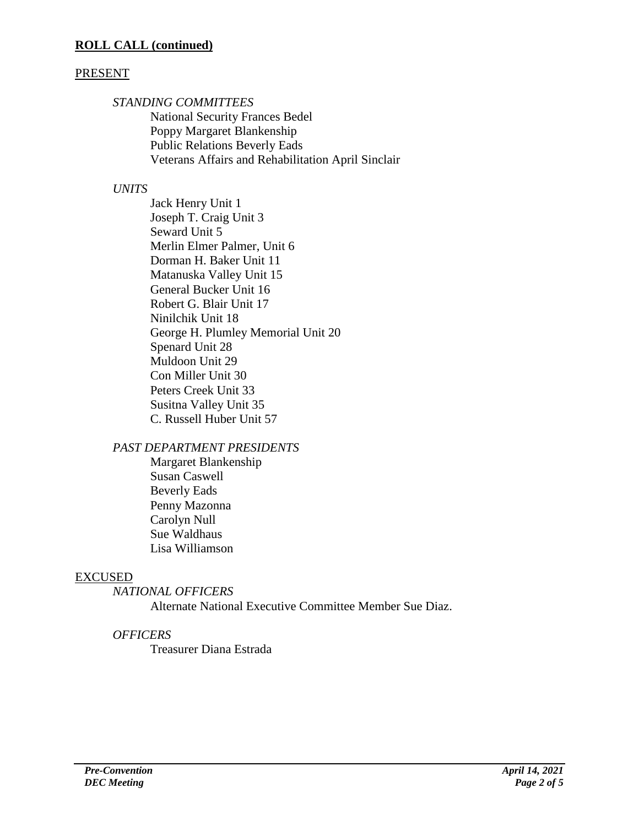## PRESENT

*STANDING COMMITTEES*

National Security Frances Bedel Poppy Margaret Blankenship Public Relations Beverly Eads Veterans Affairs and Rehabilitation April Sinclair

## *UNITS*

Jack Henry Unit 1 Joseph T. Craig Unit 3 Seward Unit 5 Merlin Elmer Palmer, Unit 6 Dorman H. Baker Unit 11 Matanuska Valley Unit 15 General Bucker Unit 16 Robert G. Blair Unit 17 Ninilchik Unit 18 George H. Plumley Memorial Unit 20 Spenard Unit 28 Muldoon Unit 29 Con Miller Unit 30 Peters Creek Unit 33 Susitna Valley Unit 35 C. Russell Huber Unit 57

## *PAST DEPARTMENT PRESIDENTS*

Margaret Blankenship Susan Caswell Beverly Eads Penny Mazonna Carolyn Null Sue Waldhaus Lisa Williamson

# EXCUSED

*NATIONAL OFFICERS* Alternate National Executive Committee Member Sue Diaz.

# *OFFICERS*

Treasurer Diana Estrada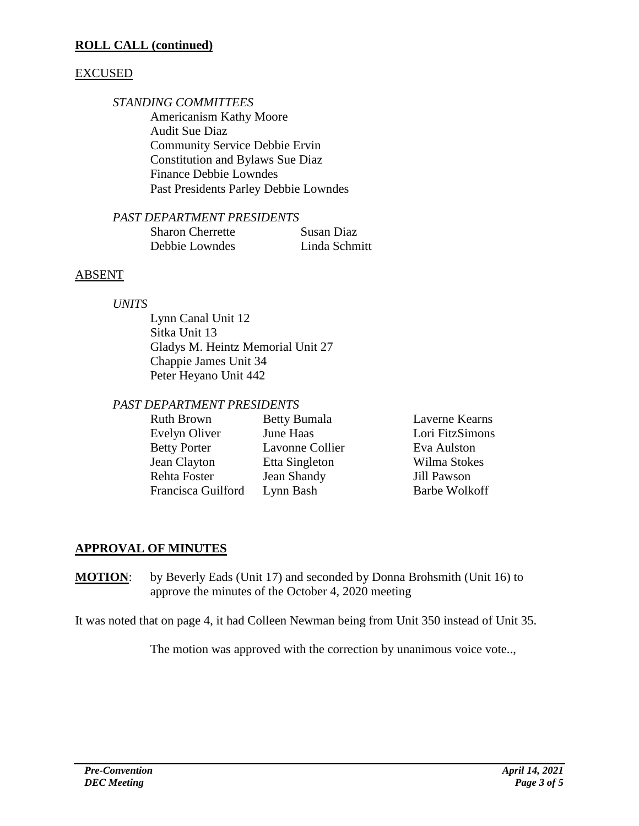### **ROLL CALL (continued)**

#### EXCUSED

#### *STANDING COMMITTEES*

Americanism Kathy Moore Audit Sue Diaz Community Service Debbie Ervin Constitution and Bylaws Sue Diaz Finance Debbie Lowndes Past Presidents Parley Debbie Lowndes

#### *PAST DEPARTMENT PRESIDENTS*

| <b>Sharon Cherrette</b> | Susan Diaz    |
|-------------------------|---------------|
| Debbie Lowndes          | Linda Schmitt |

## ABSENT

#### *UNITS*

Lynn Canal Unit 12 Sitka Unit 13 Gladys M. Heintz Memorial Unit 27 Chappie James Unit 34 Peter Heyano Unit 442

## *PAST DEPARTMENT PRESIDENTS*

| Ruth Brown          | <b>Betty Bumala</b> | Laverne Kearns       |
|---------------------|---------------------|----------------------|
| Evelyn Oliver       | June Haas           | Lori FitzSimons      |
| <b>Betty Porter</b> | Lavonne Collier     | Eva Aulston          |
| Jean Clayton        | Etta Singleton      | Wilma Stokes         |
| Rehta Foster        | Jean Shandy         | Jill Pawson          |
| Francisca Guilford  | Lynn Bash           | <b>Barbe Wolkoff</b> |

## **APPROVAL OF MINUTES**

**MOTION**: by Beverly Eads (Unit 17) and seconded by Donna Brohsmith (Unit 16) to approve the minutes of the October 4, 2020 meeting

It was noted that on page 4, it had Colleen Newman being from Unit 350 instead of Unit 35.

The motion was approved with the correction by unanimous voice vote..,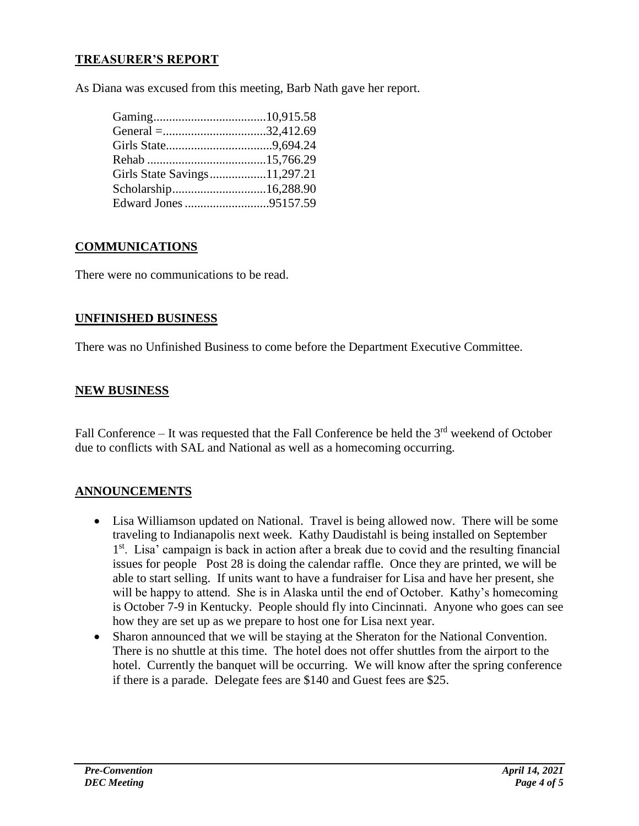## **TREASURER'S REPORT**

As Diana was excused from this meeting, Barb Nath gave her report.

| Girls State Savings11,297.21 |  |
|------------------------------|--|
|                              |  |
| Edward Jones 95157.59        |  |
|                              |  |

#### **COMMUNICATIONS**

There were no communications to be read.

## **UNFINISHED BUSINESS**

There was no Unfinished Business to come before the Department Executive Committee.

#### **NEW BUSINESS**

Fall Conference – It was requested that the Fall Conference be held the  $3<sup>rd</sup>$  weekend of October due to conflicts with SAL and National as well as a homecoming occurring.

## **ANNOUNCEMENTS**

- Lisa Williamson updated on National. Travel is being allowed now. There will be some traveling to Indianapolis next week. Kathy Daudistahl is being installed on September 1<sup>st</sup>. Lisa' campaign is back in action after a break due to covid and the resulting financial issues for people Post 28 is doing the calendar raffle. Once they are printed, we will be able to start selling. If units want to have a fundraiser for Lisa and have her present, she will be happy to attend. She is in Alaska until the end of October. Kathy's homecoming is October 7-9 in Kentucky. People should fly into Cincinnati. Anyone who goes can see how they are set up as we prepare to host one for Lisa next year.
- Sharon announced that we will be staying at the Sheraton for the National Convention. There is no shuttle at this time. The hotel does not offer shuttles from the airport to the hotel. Currently the banquet will be occurring. We will know after the spring conference if there is a parade. Delegate fees are \$140 and Guest fees are \$25.